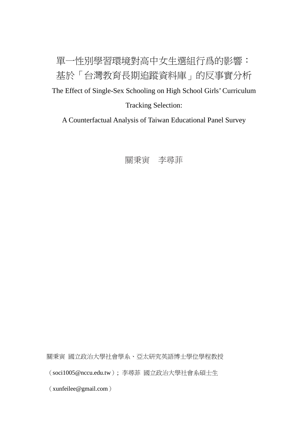單一性別學習環境對高中女生選組行爲的影響: 基於「台灣教育長期追蹤資料庫」的反事實分析 The Effect of Single-Sex Schooling on High School Girls' Curriculum Tracking Selection:

A Counterfactual Analysis of Taiwan Educational Panel Survey



關秉寅 國立政治大學社會學系、亞太研究英語博士學位學程教授

(soci1005@nccu.edu.tw); 李尋菲 [國立政治大學社會系碩士生](mailto:%E5%9C%8B%E7%AB%8B%E6%94%BF%E6%B2%BB%E5%A4%A7%E5%AD%B8%E7%A4%BE%E6%9C%83%E7%B3%BB%E7%A2%A9%E5%A3%AB%E7%94%9F%EF%BC%88xunfeilee@gmail.com)

([xunfeilee@gmail.com](mailto:%E5%9C%8B%E7%AB%8B%E6%94%BF%E6%B2%BB%E5%A4%A7%E5%AD%B8%E7%A4%BE%E6%9C%83%E7%B3%BB%E7%A2%A9%E5%A3%AB%E7%94%9F%EF%BC%88xunfeilee@gmail.com))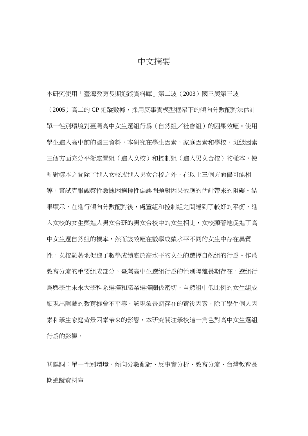## 中文摘要

本研究使用「臺灣教育長期追蹤資料庫」第二波(2003)國三與第三波 (2005)高二的 CP 追蹤數據,採用反事實模型框架下的傾向分數配對法估計 單一性別環境對臺灣高中女生選組行爲(自然組/社會組)的因果效應。使用 學生進入高中前的國三資料,本研究在學生因素,家庭因素和學校、班級因素 三個方面充分平衡處置組(進入女校)和控制組(進入男女合校)的樣本,使 配對樣本之間除了進入女校或進入男女合校之外,在以上三個方面儘可能相 等,嘗試克服觀察性數據因選擇性偏誤問題對因果效應的估計帶來的阻礙。結 果顯示,在進行傾向分數配對後,處置組和控制組之間達到了較好的平衡,進 入女校的女生與進入男女合班的男女合校中的女生相比,女校顯著地促進了高 中女生選自然組的機率,然而該效應在數學成績水平不同的女生中存在異質 性,女校顯著地促進了數學成績處於高水平的女生的選擇自然組的行爲。作爲 教育分流的重要組成部分,臺灣高中生選組行爲的性別隔離長期存在,選組行 爲與學生未來大學科系選擇和職業選擇關係密切,自然組中低比例的女生組成 顯現出隱藏的教育機會不平等。該現象長期存在的背後因素,除了學生個人因 素和學生家庭背景因素帶來的影響,本研究關注學校這一角色對高中女生選組 行爲的影響。

關鍵詞:單一性別環境、傾向分數配對、反事實分析、教育分流、台灣教育長 期追蹤資料庫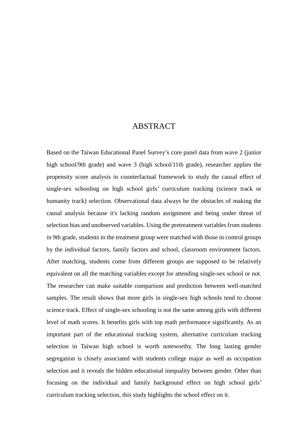## ABSTRACT

Based on the Taiwan Educational Panel Survey's core panel data from wave 2 (junior high school/9th grade) and wave 3 (high school/11th grade), researcher applies the propensity score analysis in counterfactual framework to study the causal effect of single-sex schooling on high school girls' curriculum tracking (science track or humanity track) selection. Observational data always be the obstacles of making the causal analysis because it's lacking random assignment and being under threat of selection bias and unobserved variables. Using the pretreatment variables from students in 9th grade, students in the treatment group were matched with those in control groups by the individual factors, family factors and school, classroom environment factors. After matching, students come from different groups are supposed to be relatively equivalent on all the matching variables except for attending single-sex school or not. The researcher can make suitable comparison and prediction between well-matched samples. The result shows that more girls in single-sex high schools tend to choose science track. Effect of single-sex schooling is not the same among girls with different level of math scores. It benefits girls with top math performance significantly. As an important part of the educational tracking system, alternative curriculum tracking selection in Taiwan high school is worth noteworthy. The long lasting gender segregation is closely associated with students college major as well as occupation selection and it reveals the hidden educational inequality between gender. Other than focusing on the individual and family background effect on high school girls' curriculum tracking selection, this study highlights the school effect on it.